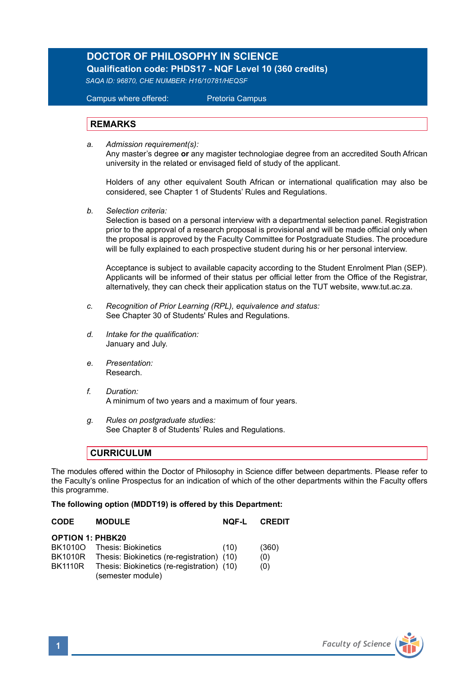# **DOCTOR OF PHILOSOPHY IN SCIENCE**

 **Qualification code: PHDS17 - NQF Level 10 (360 credits)**

*SAQA ID: 96870, CHE NUMBER: H16/10781/HEQSF*

Campus where offered: Pretoria Campus

### **REMARKS**

*a. Admission requirement(s):* 

 Any master's degree **or** any magister technologiae degree from an accredited South African university in the related or envisaged field of study of the applicant.

Holders of any other equivalent South African or international qualification may also be considered, see Chapter 1 of Students' Rules and Regulations.

*b. Selection criteria:*

Selection is based on a personal interview with a departmental selection panel. Registration prior to the approval of a research proposal is provisional and will be made official only when the proposal is approved by the Faculty Committee for Postgraduate Studies. The procedure will be fully explained to each prospective student during his or her personal interview.

Acceptance is subject to available capacity according to the Student Enrolment Plan (SEP). Applicants will be informed of their status per official letter from the Office of the Registrar, alternatively, they can check their application status on the TUT website, www.tut.ac.za.

- *c. Recognition of Prior Learning (RPL), equivalence and status:* See Chapter 30 of Students' Rules and Regulations.
- *d. Intake for the qualification:* January and July.
- *e. Presentation:*  Research.
- *f. Duration:* A minimum of two years and a maximum of four years.
- *g. Rules on postgraduate studies:* See Chapter 8 of Students' Rules and Regulations.

#### **CURRICULUM**

The modules offered within the Doctor of Philosophy in Science differ between departments. Please refer to the Faculty's online Prospectus for an indication of which of the other departments within the Faculty offers this programme.

#### **The following option (MDDT19) is offered by this Department:**

| <b>CODE</b>             | <b>MODULE</b>                                                   | <b>NOF-L</b> | <b>CREDIT</b> |
|-------------------------|-----------------------------------------------------------------|--------------|---------------|
| <b>OPTION 1: PHBK20</b> |                                                                 |              |               |
| BK1010O                 | Thesis: Biokinetics                                             | (10)         | (360)         |
|                         | BK1010R Thesis: Biokinetics (re-registration) (10)              |              | (0)           |
| <b>BK1110R</b>          | Thesis: Biokinetics (re-registration) (10)<br>(semester module) |              | (0)           |